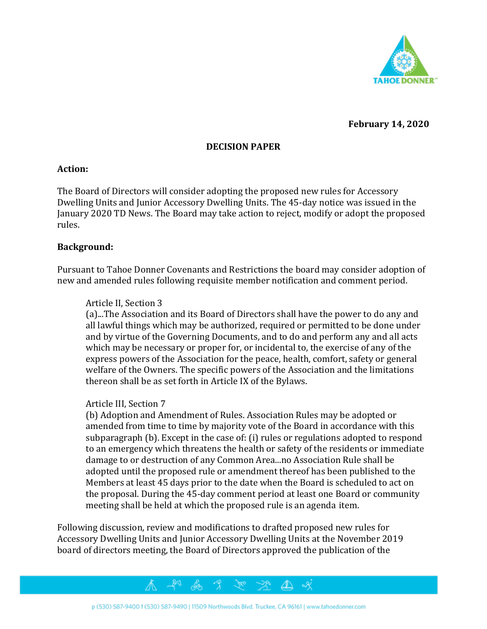

**February 14, 2020**

### **DECISION PAPER**

#### **Action:**

The Board of Directors will consider adopting the proposed new rules for Accessory Dwelling Units and Junior Accessory Dwelling Units. The 45-day notice was issued in the January 2020 TD News. The Board may take action to reject, modify or adopt the proposed rules.

#### **Background:**

Pursuant to Tahoe Donner Covenants and Restrictions the board may consider adoption of new and amended rules following requisite member notification and comment period.

#### Article II, Section 3

(a)...The Association and its Board of Directors shall have the power to do any and all lawful things which may be authorized, required or permitted to be done under and by virtue of the Governing Documents, and to do and perform any and all acts which may be necessary or proper for, or incidental to, the exercise of any of the express powers of the Association for the peace, health, comfort, safety or general welfare of the Owners. The specific powers of the Association and the limitations thereon shall be as set forth in Article IX of the Bylaws.

#### Article III, Section 7

(b) Adoption and Amendment of Rules. Association Rules may be adopted or amended from time to time by majority vote of the Board in accordance with this subparagraph (b). Except in the case of: (i) rules or regulations adopted to respond to an emergency which threatens the health or safety of the residents or immediate damage to or destruction of any Common Area...no Association Rule shall be adopted until the proposed rule or amendment thereof has been published to the Members at least 45 days prior to the date when the Board is scheduled to act on the proposal. During the 45-day comment period at least one Board or community meeting shall be held at which the proposed rule is an agenda item.

Following discussion, review and modifications to drafted proposed new rules for Accessory Dwelling Units and Junior Accessory Dwelling Units at the November 2019 board of directors meeting, the Board of Directors approved the publication of the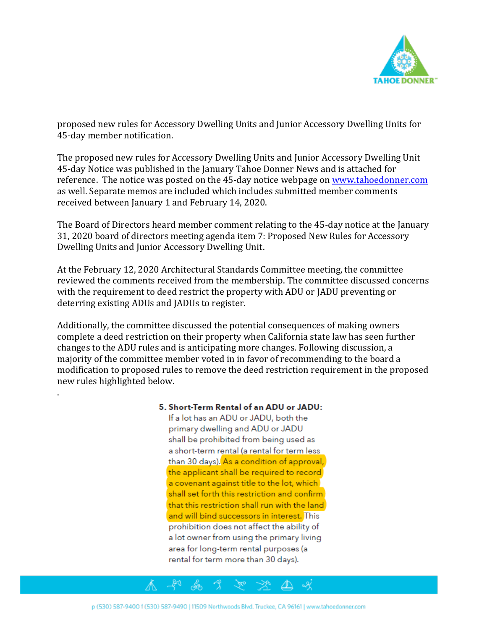

proposed new rules for Accessory Dwelling Units and Junior Accessory Dwelling Units for 45-day member notification.

The proposed new rules for Accessory Dwelling Units and Junior Accessory Dwelling Unit 45-day Notice was published in the January Tahoe Donner News and is attached for reference. The notice was posted on the 45-day notice webpage o[n www.tahoedonner.com](http://www.tahoedonner.com/) as well. Separate memos are included which includes submitted member comments received between January 1 and February 14, 2020.

The Board of Directors heard member comment relating to the 45-day notice at the January 31, 2020 board of directors meeting agenda item 7: Proposed New Rules for Accessory Dwelling Units and Junior Accessory Dwelling Unit.

At the February 12, 2020 Architectural Standards Committee meeting, the committee reviewed the comments received from the membership. The committee discussed concerns with the requirement to deed restrict the property with ADU or JADU preventing or deterring existing ADUs and JADUs to register.

Additionally, the committee discussed the potential consequences of making owners complete a deed restriction on their property when California state law has seen further changes to the ADU rules and is anticipating more changes. Following discussion, a majority of the committee member voted in in favor of recommending to the board a modification to proposed rules to remove the deed restriction requirement in the proposed new rules highlighted below.

#### 5. Short-Term Rental of an ADU or JADU:

.

If a lot has an ADU or JADU, both the primary dwelling and ADU or JADU shall be prohibited from being used as a short-term rental (a rental for term less than 30 days). As a condition of approval, the applicant shall be required to record a covenant against title to the lot, which shall set forth this restriction and confirm that this restriction shall run with the land and will bind successors in interest. This prohibition does not affect the ability of a lot owner from using the primary living area for long-term rental purposes (a rental for term more than 30 days).

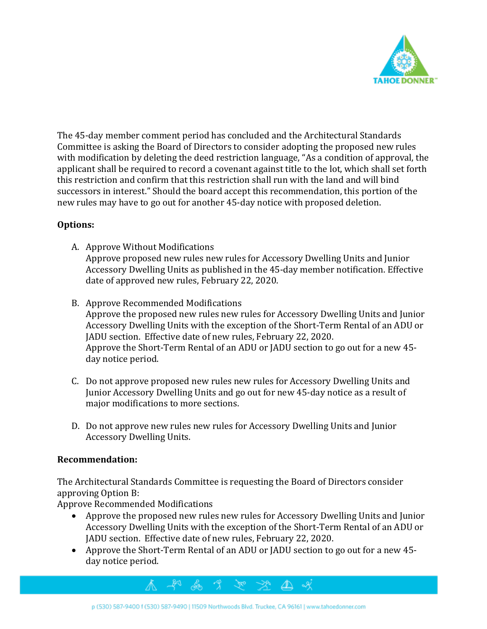

The 45-day member comment period has concluded and the Architectural Standards Committee is asking the Board of Directors to consider adopting the proposed new rules with modification by deleting the deed restriction language, "As a condition of approval, the applicant shall be required to record a covenant against title to the lot, which shall set forth this restriction and confirm that this restriction shall run with the land and will bind successors in interest." Should the board accept this recommendation, this portion of the new rules may have to go out for another 45-day notice with proposed deletion.

# **Options:**

- A. Approve Without Modifications Approve proposed new rules new rules for Accessory Dwelling Units and Junior Accessory Dwelling Units as published in the 45-day member notification. Effective date of approved new rules, February 22, 2020.
- B. Approve Recommended Modifications

Approve the proposed new rules new rules for Accessory Dwelling Units and Junior Accessory Dwelling Units with the exception of the Short-Term Rental of an ADU or JADU section. Effective date of new rules, February 22, 2020. Approve the Short-Term Rental of an ADU or JADU section to go out for a new 45 day notice period.

- C. Do not approve proposed new rules new rules for Accessory Dwelling Units and Junior Accessory Dwelling Units and go out for new 45-day notice as a result of major modifications to more sections.
- D. Do not approve new rules new rules for Accessory Dwelling Units and Junior Accessory Dwelling Units.

## **Recommendation:**

The Architectural Standards Committee is requesting the Board of Directors consider approving Option B:

Approve Recommended Modifications

- Approve the proposed new rules new rules for Accessory Dwelling Units and Junior Accessory Dwelling Units with the exception of the Short-Term Rental of an ADU or JADU section. Effective date of new rules, February 22, 2020.
- Approve the Short-Term Rental of an ADU or JADU section to go out for a new 45 day notice period.